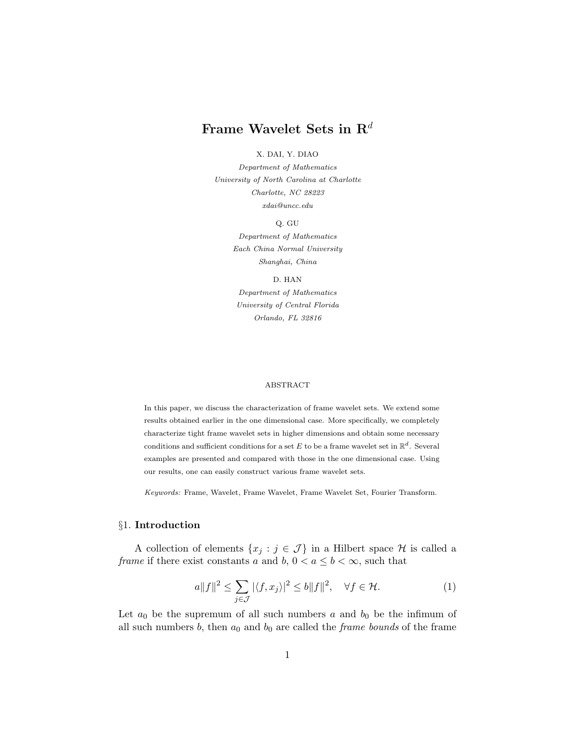# Frame Wavelet Sets in  $\mathbb{R}^d$

### X. DAI, Y. DIAO

Department of Mathematics University of North Carolina at Charlotte Charlotte, NC 28223 xdai@uncc.edu

Q. GU

Department of Mathematics Each China Normal University Shanghai, China

D. HAN Department of Mathematics University of Central Florida Orlando, FL 32816

#### ABSTRACT

In this paper, we discuss the characterization of frame wavelet sets. We extend some results obtained earlier in the one dimensional case. More specifically, we completely characterize tight frame wavelet sets in higher dimensions and obtain some necessary conditions and sufficient conditions for a set E to be a frame wavelet set in  $\mathbb{R}^d$ . Several examples are presented and compared with those in the one dimensional case. Using our results, one can easily construct various frame wavelet sets.

Keywords: Frame, Wavelet, Frame Wavelet, Frame Wavelet Set, Fourier Transform.

### §1. Introduction

A collection of elements  $\{x_j : j \in \mathcal{J}\}\$ in a Hilbert space  $\mathcal{H}$  is called a frame if there exist constants a and b,  $0 < a \leq b < \infty$ , such that

$$
a||f||^2 \le \sum_{j \in \mathcal{J}} |\langle f, x_j \rangle|^2 \le b||f||^2, \quad \forall f \in \mathcal{H}.
$$
 (1)

Let  $a_0$  be the supremum of all such numbers a and  $b_0$  be the infimum of all such numbers b, then  $a_0$  and  $b_0$  are called the *frame bounds* of the frame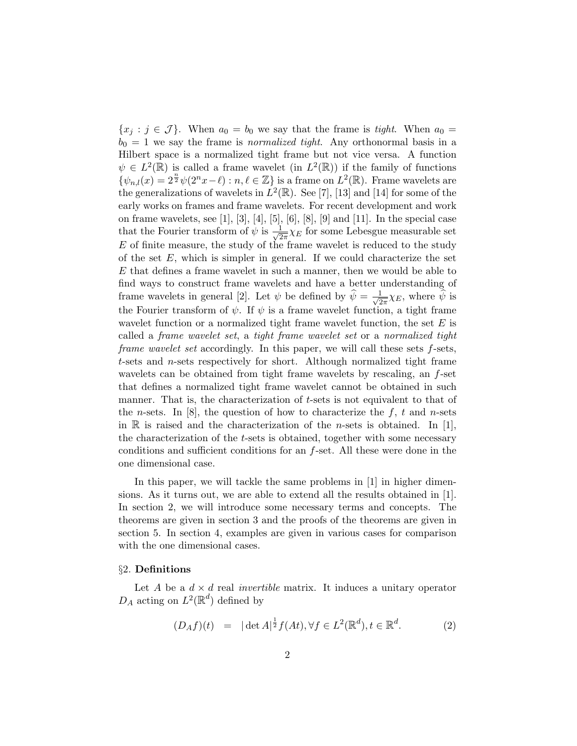${x_j : j \in \mathcal{J}}$ . When  $a_0 = b_0$  we say that the frame is tight. When  $a_0 =$  $b_0 = 1$  we say the frame is *normalized tight*. Any orthonormal basis in a Hilbert space is a normalized tight frame but not vice versa. A function  $\psi \in L^2(\mathbb{R})$  is called a frame wavelet (in  $L^2(\mathbb{R})$ ) if the family of functions  $\{\psi_{n,l}(x)=2^{\frac{n}{2}}\psi(2^nx-\ell):n,\ell\in\mathbb{Z}\}\$ is a frame on  $L^2(\mathbb{R})$ . Frame wavelets are the generalizations of wavelets in  $L^2(\mathbb{R})$ . See [7], [13] and [14] for some of the early works on frames and frame wavelets. For recent development and work on frame wavelets, see [1], [3], [4], [5], [6], [8], [9] and [11]. In the special case that the Fourier transform of  $\psi$  is  $\frac{1}{\sqrt{2}}$  $\frac{1}{2\pi}\chi_E$  for some Lebesgue measurable set  $E$  of finite measure, the study of the frame wavelet is reduced to the study of the set  $E$ , which is simpler in general. If we could characterize the set E that defines a frame wavelet in such a manner, then we would be able to find ways to construct frame wavelets and have a better understanding of frame wavelets in general [2]. Let  $\psi$  be defined by  $\hat{\psi} = -\frac{1}{\sqrt{2}}$  $\frac{1}{2\pi}\chi_E$ , where  $\widehat{\psi}$  is the Fourier transform of  $\psi$ . If  $\psi$  is a frame wavelet function, a tight frame wavelet function or a normalized tight frame wavelet function, the set  $E$  is called a frame wavelet set, a tight frame wavelet set or a normalized tight frame wavelet set accordingly. In this paper, we will call these sets f-sets, t-sets and n-sets respectively for short. Although normalized tight frame wavelets can be obtained from tight frame wavelets by rescaling, an f-set that defines a normalized tight frame wavelet cannot be obtained in such manner. That is, the characterization of  $t$ -sets is not equivalent to that of the *n*-sets. In [8], the question of how to characterize the f, t and *n*-sets in  $\mathbb R$  is raised and the characterization of the *n*-sets is obtained. In [1], the characterization of the t-sets is obtained, together with some necessary conditions and sufficient conditions for an  $f$ -set. All these were done in the one dimensional case.

In this paper, we will tackle the same problems in [1] in higher dimensions. As it turns out, we are able to extend all the results obtained in [1]. In section 2, we will introduce some necessary terms and concepts. The theorems are given in section 3 and the proofs of the theorems are given in section 5. In section 4, examples are given in various cases for comparison with the one dimensional cases.

#### §2. Definitions

Let A be a  $d \times d$  real *invertible* matrix. It induces a unitary operator  $D_A$  acting on  $L^2(\mathbb{R}^d)$  defined by

$$
(D_A f)(t) = |\det A|^{\frac{1}{2}} f(At), \forall f \in L^2(\mathbb{R}^d), t \in \mathbb{R}^d. \tag{2}
$$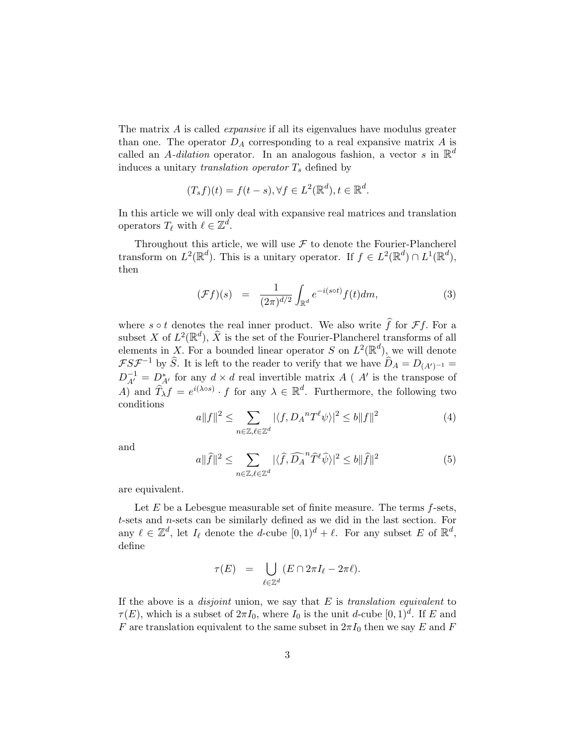The matrix A is called *expansive* if all its eigenvalues have modulus greater than one. The operator  $D_A$  corresponding to a real expansive matrix A is called an A-dilation operator. In an analogous fashion, a vector s in  $\mathbb{R}^d$ induces a unitary translation operator  $T_s$  defined by

$$
(T_s f)(t) = f(t - s), \forall f \in L^2(\mathbb{R}^d), t \in \mathbb{R}^d.
$$

In this article we will only deal with expansive real matrices and translation operators  $T_{\ell}$  with  $\ell \in \mathbb{Z}^d$ .

Throughout this article, we will use  $\mathcal F$  to denote the Fourier-Plancherel transform on  $L^2(\mathbb{R}^d)$ . This is a unitary operator. If  $f \in L^2(\mathbb{R}^d) \cap L^1(\mathbb{R}^d)$ , then

$$
(\mathcal{F}f)(s) = \frac{1}{(2\pi)^{d/2}} \int_{\mathbb{R}^d} e^{-i(s\circ t)} f(t) dm,
$$
\n(3)

where  $s \circ t$  denotes the real inner product. We also write  $\hat{f}$  for  $\mathcal{F}f$ . For a subset X of  $L^2(\mathbb{R}^d)$ ,  $\widehat{X}$  is the set of the Fourier-Plancherel transforms of all elements in X. For a bounded linear operator S on  $L^2(\mathbb{R}^d)$ , we will denote  $\mathcal{F}S\mathcal{F}^{-1}$  by  $\widehat{S}$ . It is left to the reader to verify that we have  $\widehat{D}_A = D_{(A')^{-1}} =$  $D_{A'}^{-1} = D_{A'}^*$  for any  $d \times d$  real invertible matrix A ( A' is the transpose of A) and  $\widehat{T}_{\lambda}f = e^{i(\lambda \circ s)} \cdot f$  for any  $\lambda \in \mathbb{R}^d$ . Furthermore, the following two conditions  $\overline{\phantom{a}}$ 

$$
a||f||^2 \le \sum_{n \in \mathbb{Z}, \ell \in \mathbb{Z}^d} |\langle f, D_A^n T^\ell \psi \rangle|^2 \le b||f||^2 \tag{4}
$$

and

$$
a\|\widehat{f}\|^2 \le \sum_{n \in \mathbb{Z}, \ell \in \mathbb{Z}^d} |\langle \widehat{f}, \widehat{D_A}^n \widehat{T}^\ell \widehat{\psi} \rangle|^2 \le b\|\widehat{f}\|^2 \tag{5}
$$

are equivalent.

Let  $E$  be a Lebesgue measurable set of finite measure. The terms  $f$ -sets, t-sets and n-sets can be similarly defined as we did in the last section. For any  $\ell \in \mathbb{Z}^d$ , let  $I_\ell$  denote the d-cube  $[0, 1)^d + \ell$ . For any subset E of  $\mathbb{R}^d$ , define

$$
\tau(E) = \bigcup_{\ell \in \mathbb{Z}^d} (E \cap 2\pi I_\ell - 2\pi \ell).
$$

If the above is a *disjoint* union, we say that  $E$  is *translation equivalent* to  $\tau(E)$ , which is a subset of  $2\pi I_0$ , where  $I_0$  is the unit d-cube  $[0,1)^d$ . If E and F are translation equivalent to the same subset in  $2\pi I_0$  then we say E and F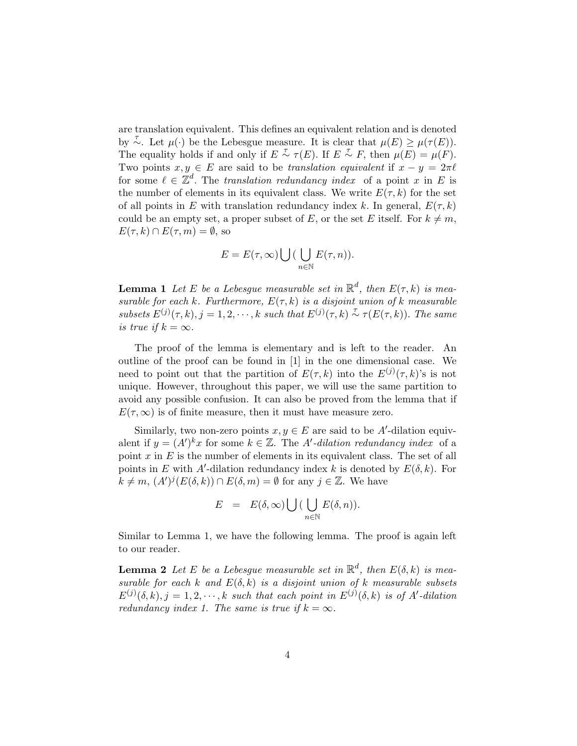are translation equivalent. This defines an equivalent relation and is denoted by  $\sim$ . Let  $\mu(\cdot)$  be the Lebesgue measure. It is clear that  $\mu(E) \geq \mu(\tau(E)).$ The equality holds if and only if  $E \stackrel{\tau}{\sim} \tau(E)$ . If  $E \stackrel{\tau}{\sim} F$ , then  $\mu(E) = \mu(F)$ . Two points  $x, y \in E$  are said to be translation equivalent if  $x - y = 2\pi\ell$ for some  $\ell \in \mathbb{Z}^d$ . The translation redundancy index of a point x in E is the number of elements in its equivalent class. We write  $E(\tau, k)$  for the set of all points in E with translation redundancy index k. In general,  $E(\tau, k)$ could be an empty set, a proper subset of E, or the set E itself. For  $k \neq m$ ,  $E(\tau, k) \cap E(\tau, m) = \emptyset$ , so

$$
E = E(\tau, \infty) \bigcup \big(\bigcup_{n \in \mathbb{N}} E(\tau, n)\big).
$$

**Lemma 1** Let E be a Lebesgue measurable set in  $\mathbb{R}^d$ , then  $E(\tau, k)$  is measurable for each k. Furthermore,  $E(\tau, k)$  is a disjoint union of k measurable subsets  $E^{(j)}(\tau, k), j = 1, 2, \cdots, k$  such that  $E^{(j)}(\tau, k) \overset{\tau}{\sim} \tau(E(\tau, k))$ . The same is true if  $k = \infty$ .

The proof of the lemma is elementary and is left to the reader. An outline of the proof can be found in [1] in the one dimensional case. We need to point out that the partition of  $E(\tau, k)$  into the  $E^{(j)}(\tau, k)$ 's is not unique. However, throughout this paper, we will use the same partition to avoid any possible confusion. It can also be proved from the lemma that if  $E(\tau,\infty)$  is of finite measure, then it must have measure zero.

Similarly, two non-zero points  $x, y \in E$  are said to be A'-dilation equivalent if  $y = (A')^k x$  for some  $k \in \mathbb{Z}$ . The A'-dilation redundancy index of a point  $x$  in  $E$  is the number of elements in its equivalent class. The set of all points in E with A'-dilation redundancy index k is denoted by  $E(\delta, k)$ . For  $k \neq m, (A')^j (E(\delta, k)) \cap E(\delta, m) = \emptyset$  for any  $j \in \mathbb{Z}$ . We have

$$
E = E(\delta, \infty) \bigcup \big(\bigcup_{n \in \mathbb{N}} E(\delta, n)\big).
$$

Similar to Lemma 1, we have the following lemma. The proof is again left to our reader.

**Lemma 2** Let E be a Lebesgue measurable set in  $\mathbb{R}^d$ , then  $E(\delta, k)$  is measurable for each k and  $E(\delta, k)$  is a disjoint union of k measurable subsets  $E^{(j)}(\delta, k), j = 1, 2, \cdots, k$  such that each point in  $E^{(j)}(\delta, k)$  is of A'-dilation redundancy index 1. The same is true if  $k = \infty$ .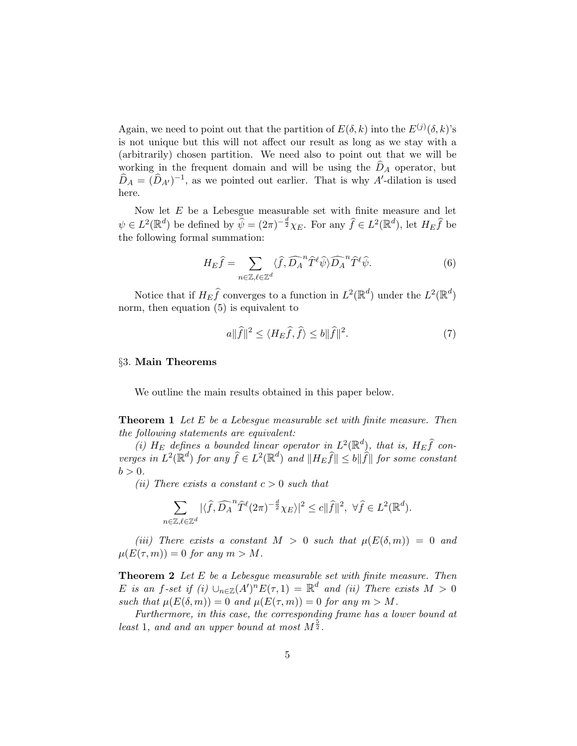Again, we need to point out that the partition of  $E(\delta, k)$  into the  $E^{(j)}(\delta, k)$ 's is not unique but this will not affect our result as long as we stay with a (arbitrarily) chosen partition. We need also to point out that we will be working in the frequent domain and will be using the  $\widehat{D}_A$  operator, but  $\hat{D}_A = (\hat{D}_{A'})^{-1}$ , as we pointed out earlier. That is why A'-dilation is used here.

Now let E be a Lebesgue measurable set with finite measure and let  $\psi \in L^2(\mathbb{R}^d)$  be defined by  $\widehat{\psi} = (2\pi)^{-\frac{d}{2}} \chi_E$ . For any  $\widehat{f} \in L^2(\mathbb{R}^d)$ , let  $H_E \widehat{f}$  be the following formal summation:

$$
H_E \hat{f} = \sum_{n \in \mathbb{Z}, \ell \in \mathbb{Z}^d} \langle \hat{f}, \widehat{D_A}^n \hat{T}^\ell \hat{\psi} \rangle \widehat{D_A}^n \hat{T}^\ell \hat{\psi}.
$$
 (6)

Notice that if  $H_E \hat{f}$  converges to a function in  $L^2(\mathbb{R}^d)$  under the  $L^2(\mathbb{R}^d)$ norm, then equation (5) is equivalent to

$$
a\|\widehat{f}\|^2 \le \langle H_E\widehat{f}, \widehat{f} \rangle \le b\|\widehat{f}\|^2. \tag{7}
$$

#### §3. Main Theorems

We outline the main results obtained in this paper below.

**Theorem 1** Let E be a Lebesque measurable set with finite measure. Then the following statements are equivalent:

(i)  $H_E$  defines a bounded linear operator in  $L^2(\mathbb{R}^d)$ , that is,  $H_E \widehat{f}$  converges in  $L^2(\mathbb{R}^d)$  for any  $\widehat{f} \in L^2(\mathbb{R}^d)$  and  $||H_E\widehat{f}|| \leq b||\widehat{f}||$  for some constant  $b > 0$ .

(*ii*) There exists a constant  $c > 0$  such that

$$
\sum_{n\in\mathbb{Z},\ell\in\mathbb{Z}^d} |\langle \widehat{f}, \widehat{D_A}^n \widehat{T}^{\ell}(2\pi)^{-\frac{d}{2}} \chi_E\rangle|^2 \le c \|\widehat{f}\|^2, \ \forall \widehat{f} \in L^2(\mathbb{R}^d).
$$

(iii) There exists a constant  $M > 0$  such that  $\mu(E(\delta, m)) = 0$  and  $\mu(E(\tau,m)) = 0$  for any  $m > M$ .

**Theorem 2** Let  $E$  be a Lebesque measurable set with finite measure. Then E is an f-set if (i)  $\cup_{n\in\mathbb{Z}}(A')^nE(\tau,1) = \mathbb{R}^d$  and (ii) There exists  $M > 0$ such that  $\mu(E(\delta, m)) = 0$  and  $\mu(E(\tau, m)) = 0$  for any  $m > M$ .

Furthermore, in this case, the corresponding frame has a lower bound at least 1, and and an upper bound at most  $M^{\frac{5}{2}}$ .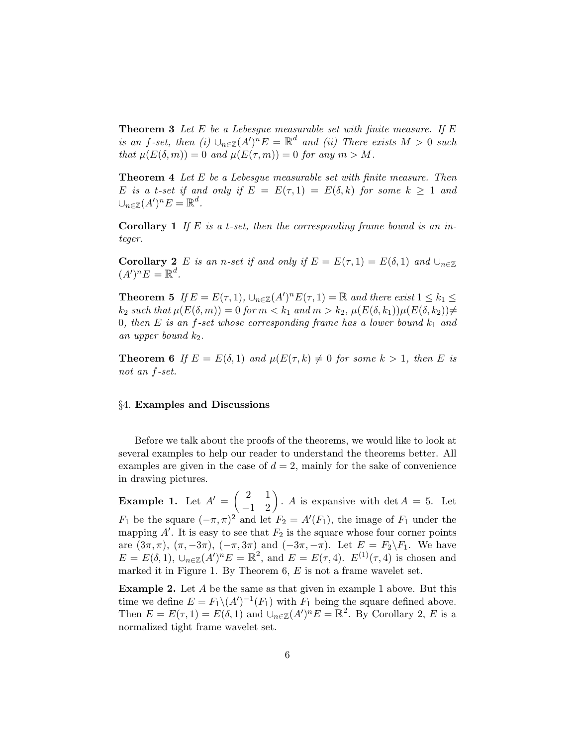**Theorem 3** Let  $E$  be a Lebesgue measurable set with finite measure. If  $E$ is an f-set, then (i)  $\bigcup_{n\in\mathbb{Z}}(A')^nE = \mathbb{R}^d$  and (ii) There exists  $M > 0$  such that  $\mu(E(\delta, m)) = 0$  and  $\mu(E(\tau, m)) = 0$  for any  $m > M$ .

**Theorem 4** Let E be a Lebesque measurable set with finite measure. Then E is a t-set if and only if  $E = E(\tau, 1) = E(\delta, k)$  for some  $k \geq 1$  and  $\cup_{n\in\mathbb{Z}}(A')^nE=\mathbb{R}^d.$ 

**Corollary 1** If E is a t-set, then the corresponding frame bound is an integer.

**Corollary 2** E is an n-set if and only if  $E = E(\tau, 1) = E(\delta, 1)$  and  $\cup_{n \in \mathbb{Z}}$  $(A')^n E = \mathbb{R}^d$ .

**Theorem 5** If  $E = E(\tau, 1)$ ,  $\bigcup_{n \in \mathbb{Z}} (A')^n E(\tau, 1) = \mathbb{R}$  and there exist  $1 \leq k_1 \leq k_2$  $k_2$  such that  $\mu(E(\delta, m)) = 0$  for  $m < k_1$  and  $m > k_2$ ,  $\mu(E(\delta, k_1))\mu(E(\delta, k_2)) \neq$ 0, then E is an f-set whose corresponding frame has a lower bound  $k_1$  and an upper bound  $k_2$ .

**Theorem 6** If  $E = E(\delta, 1)$  and  $\mu(E(\tau, k) \neq 0$  for some  $k > 1$ , then E is not an f-set.

#### §4. Examples and Discussions

Before we talk about the proofs of the theorems, we would like to look at several examples to help our reader to understand the theorems better. All examples are given in the case of  $d = 2$ , mainly for the sake of convenience in drawing pictures.

Example 1. Let  $A' =$  $\begin{pmatrix} 2 & 1 \\ -1 & 2 \end{pmatrix}$ . A is expansive with det  $A = 5$ . Let  $F_1$  be the square  $(-\pi, \pi)^2$  and let  $F_2 = A'(F_1)$ , the image of  $F_1$  under the mapping  $A'$ . It is easy to see that  $F_2$  is the square whose four corner points are  $(3\pi, \pi)$ ,  $(\pi, -3\pi)$ ,  $(-\pi, 3\pi)$  and  $(-3\pi, -\pi)$ . Let  $E = F_2 \backslash F_1$ . We have  $E = E(\delta, 1), \cup_{n \in \mathbb{Z}} (A')^n E = \mathbb{R}^2$ , and  $E = E(\tau, 4)$ .  $E^{(1)}(\tau, 4)$  is chosen and marked it in Figure 1. By Theorem  $6, E$  is not a frame wavelet set.

Example 2. Let A be the same as that given in example 1 above. But this time we define  $E = F_1 \setminus (A')^{-1}(F_1)$  with  $F_1$  being the square defined above. Then  $E = E(\tau, 1) = E(\delta, 1)$  and  $\bigcup_{n \in \mathbb{Z}} (A')^n E = \mathbb{R}^2$ . By Corollary 2, E is a normalized tight frame wavelet set.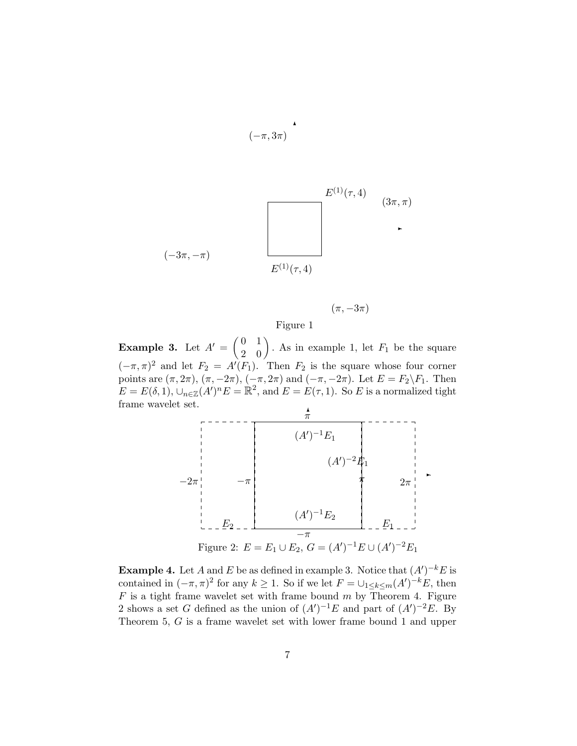$$
E^{(1)}(\tau, 4)
$$
\n
$$
(-3\pi, -\pi)
$$
\n
$$
E^{(1)}(\tau, 4)
$$
\n
$$
E^{(1)}(\tau, 4)
$$
\n
$$
(3\pi, \pi)
$$

✻

 $(-\pi, 3\pi)$ 

$$
(\pi,-3\pi)
$$

Figure 1

Example 3. Let  $A' =$  $\begin{pmatrix} 0 & 1 \\ 2 & 0 \end{pmatrix}$ . As in example 1, let  $F_1$  be the square  $(-\pi, \pi)^2$  and let  $F_2 = A'(F_1)$ . Then  $F_2$  is the square whose four corner points are  $(\pi, 2\pi)$ ,  $(\pi, -2\pi)$ ,  $(-\pi, 2\pi)$  and  $(-\pi, -2\pi)$ . Let  $E = F_2 \backslash F_1$ . Then  $E = E(\delta, 1), \cup_{n \in \mathbb{Z}} (A')^n E = \mathbb{R}^2$ , and  $E = E(\tau, 1)$ . So E is a normalized tight frame wavelet set.



**Example 4.** Let A and E be as defined in example 3. Notice that  $(A')^{-k}E$  is contained in  $(-\pi, \pi)^2$  for any  $k \geq 1$ . So if we let  $F = \cup_{1 \leq k \leq m} (A')^{-k} E$ , then  $F$  is a tight frame wavelet set with frame bound  $m$  by Theorem 4. Figure 2 shows a set G defined as the union of  $(A')^{-1}E$  and part of  $(A')^{-2}E$ . By Theorem 5, G is a frame wavelet set with lower frame bound 1 and upper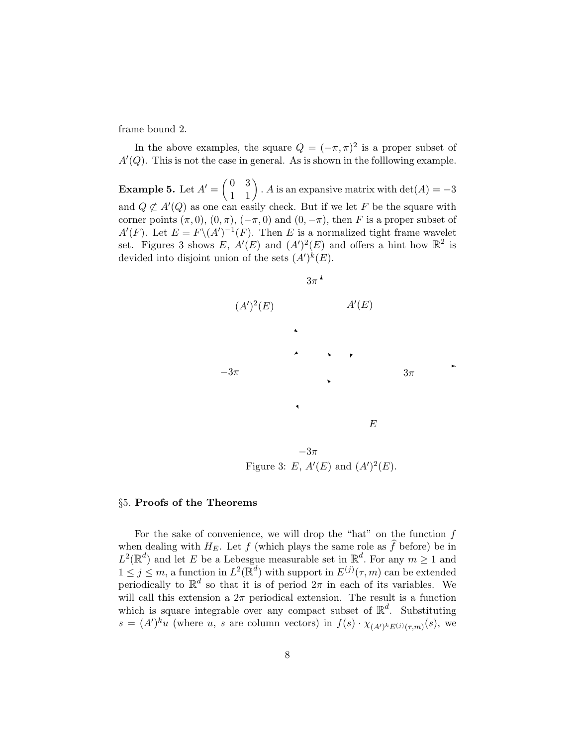frame bound 2.

In the above examples, the square  $Q = (-\pi, \pi)^2$  is a proper subset of  $A'(Q)$ . This is not the case in general. As is shown in the following example.

Example 5. Let  $A' =$  $\begin{pmatrix} 0 & 3 \\ 1 & 1 \end{pmatrix}$ . A is an expansive matrix with det(A) = -3 and  $Q \not\subset A'(Q)$  as one can easily check. But if we let F be the square with corner points  $(\pi, 0), (0, \pi), (-\pi, 0)$  and  $(0, -\pi)$ , then F is a proper subset of  $A'(F)$ . Let  $E = F \setminus (A')^{-1}(F)$ . Then E is a normalized tight frame wavelet set. Figures 3 shows E,  $A'(E)$  and  $(A')^2(E)$  and offers a hint how  $\mathbb{R}^2$  is devided into disjoint union of the sets  $(A')^k(E)$ .



 $\ddot{\phantom{1}}$ 

Figure 3: E,  $A'(E)$  and  $(A')^2(E)$ .

## §5. Proofs of the Theorems

For the sake of convenience, we will drop the "hat" on the function  $f$ when dealing with  $H_E$ . Let f (which plays the same role as  $\hat{f}$  before) be in  $L^2(\mathbb{R}^d)$  and let E be a Lebesgue measurable set in  $\mathbb{R}^d$ . For any  $m \geq 1$  and  $1 \leq j \leq m$ , a function in  $L^2(\mathbb{R}^d)$  with support in  $E^{(j)}(\tau,m)$  can be extended periodically to  $\mathbb{R}^d$  so that it is of period  $2\pi$  in each of its variables. We will call this extension a  $2\pi$  periodical extension. The result is a function which is square integrable over any compact subset of  $\mathbb{R}^d$ . Substituting  $s = (A')^{k}u$  (where u, s are column vectors) in  $f(s) \cdot \chi_{(A')^{k}E^{(j)}(\tau,m)}(s)$ , we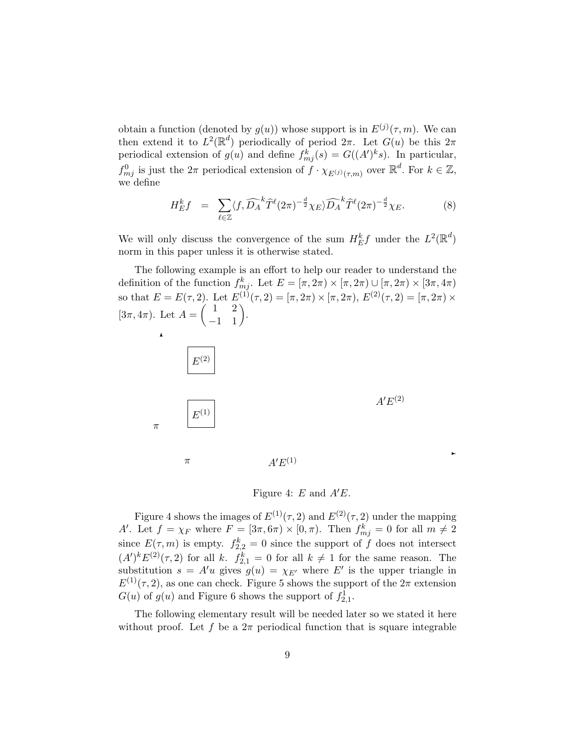obtain a function (denoted by  $g(u)$ ) whose support is in  $E^{(j)}(\tau,m)$ . We can then extend it to  $L^2(\mathbb{R}^d)$  periodically of period  $2\pi$ . Let  $G(u)$  be this  $2\pi$ periodical extension of  $g(u)$  and define  $f_{mj}^k(s) = G((A')^k s)$ . In particular,  $f_{mj}^0$  is just the  $2\pi$  periodical extension of  $f \cdot \chi_{E^{(j)}(\tau,m)}$  over  $\mathbb{R}^d$ . For  $k \in \mathbb{Z}$ , we define

$$
H_E^k f = \sum_{\ell \in \mathbb{Z}} \langle f, \widehat{D_A}^k \widehat{T}^{\ell}(2\pi)^{-\frac{d}{2}} \chi_E \rangle \widehat{D_A}^k \widehat{T}^{\ell}(2\pi)^{-\frac{d}{2}} \chi_E. \tag{8}
$$

We will only discuss the convergence of the sum  $H_E^k f$  under the  $L^2(\mathbb{R}^d)$ norm in this paper unless it is otherwise stated.

The following example is an effort to help our reader to understand the definition of the function  $f_{mj}^k$ . Let  $E = [\pi, 2\pi) \times [\pi, 2\pi) \cup [\pi, 2\pi) \times [3\pi, 4\pi)$ so that  $E = E(\tau, 2)$ . Let  $E^{(1)}(\tau, 2) = [\pi, 2\pi) \times [\pi, 2\pi)$ ,  $E^{(2)}(\tau, 2) = [\pi, 2\pi) \times$ So that  $E = E(7, 2)$ . Let  $E(7, 2)$ .<br>[3 $\pi$ , 4 $\pi$ ]. Let  $A = \begin{pmatrix} 1 & 2 \\ -1 & 1 \end{pmatrix}$ . ✻  ${\cal E}^{(2)}$ 



 $\pi$ 

 $A'E^{(2)}$ 

 $\ddot{\phantom{1}}$ 

π  $A'E^{(1)}$ 

Figure 4: E and  $A'E$ .

Figure 4 shows the images of  $E^{(1)}(\tau,2)$  and  $E^{(2)}(\tau,2)$  under the mapping A'. Let  $f = \chi_F$  where  $F = [3\pi, 6\pi) \times [0, \pi)$ . Then  $f_{mj}^k = 0$  for all  $m \neq 2$ since  $E(\tau, m)$  is empty.  $f_{2,2}^k = 0$  since the support of f does not intersect  $(A')^k E^{(2)}(\tau,2)$  for all k.  $f_{2,1}^k = 0$  for all  $k \neq 1$  for the same reason. The substitution  $s = A'u$  gives  $g(u) = \chi_{E'}$  where E' is the upper triangle in  $E^{(1)}(\tau,2)$ , as one can check. Figure 5 shows the support of the  $2\pi$  extension  $G(u)$  of  $g(u)$  and Figure 6 shows the support of  $f_{2,1}^1$ .

The following elementary result will be needed later so we stated it here without proof. Let f be a  $2\pi$  periodical function that is square integrable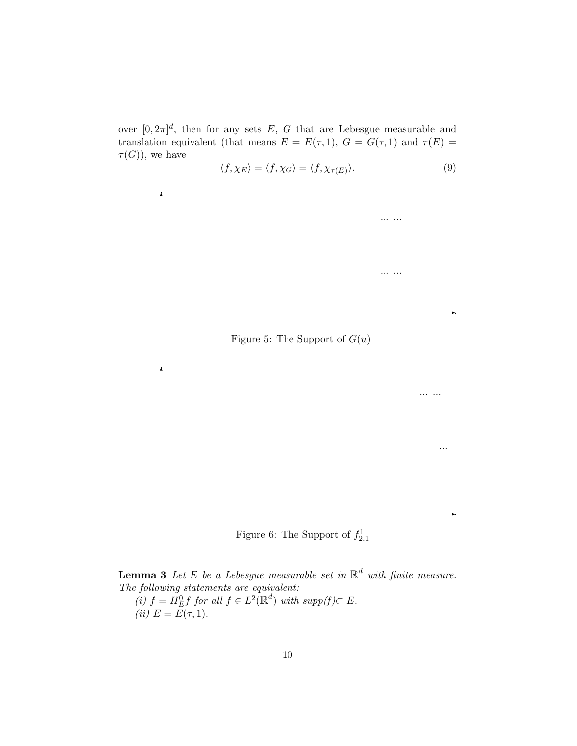over  $[0, 2\pi]^d$ , then for any sets E, G that are Lebesgue measurable and translation equivalent (that means  $E = E(\tau, 1)$ ,  $G = G(\tau, 1)$  and  $\tau(E) =$  $\tau(G)$ , we have

 $\pmb{\lambda}$ 

 $\blacktriangle$ 

$$
\langle f, \chi_E \rangle = \langle f, \chi_G \rangle = \langle f, \chi_{\tau(E)} \rangle. \tag{9}
$$

✲

... ...

...

✲

... ...

... ...

Figure 5: The Support of  $G(u)$ 

Figure 6: The Support of  $f_{2,1}^1$ 

**Lemma 3** Let E be a Lebesgue measurable set in  $\mathbb{R}^d$  with finite measure. The following statements are equivalent:

(i)  $f = H_E^0 f$  for all  $f \in L^2(\mathbb{R}^d)$  with supp $(f) \subset E$ . (*ii*)  $E = E(\tau, 1)$ .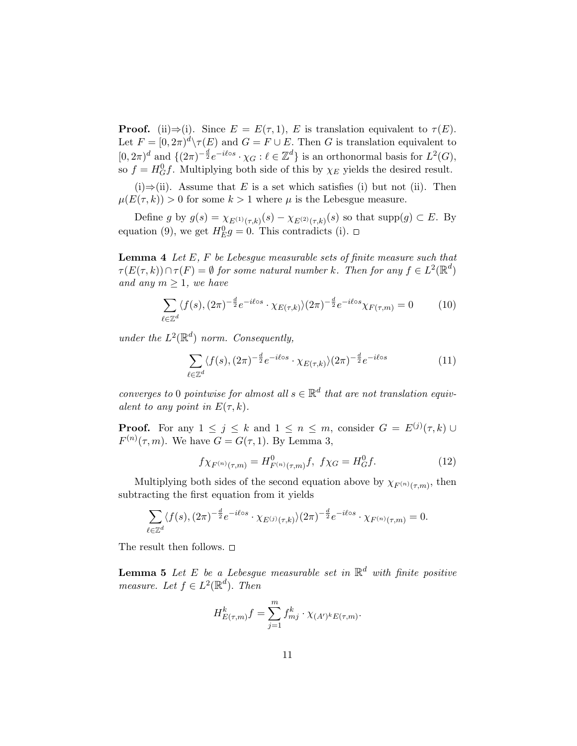**Proof.** (ii)⇒(i). Since  $E = E(\tau, 1)$ , E is translation equivalent to  $\tau(E)$ . Let  $F = [0, 2\pi)^d \setminus \tau(E)$  and  $G = F \cup E$ . Then G is translation equivalent to  $[0, 2\pi)^d$  and  $\{(2\pi)^{-\frac{d}{2}}e^{-i\ell \circ s} \cdot \chi_G : \ell \in \mathbb{Z}^d\}$  is an orthonormal basis for  $L^2(G)$ , so  $f = H_G^0 f$ . Multiplying both side of this by  $\chi_E$  yields the desired result.

(i)⇒(ii). Assume that E is a set which satisfies (i) but not (ii). Then  $\mu(E(\tau, k)) > 0$  for some  $k > 1$  where  $\mu$  is the Lebesgue measure.

Define g by  $g(s) = \chi_{E^{(1)}(\tau,k)}(s) - \chi_{E^{(2)}(\tau,k)}(s)$  so that supp $(g) \subset E$ . By equation (9), we get  $H_E^0 g = 0$ . This contradicts (i).

**Lemma 4** Let  $E$ ,  $F$  be Lebesque measurable sets of finite measure such that  $\tau(E(\tau, k)) \cap \tau(F) = \emptyset$  for some natural number k. Then for any  $f \in L^2(\mathbb{R}^d)$ and any  $m \geq 1$ , we have

$$
\sum_{\ell \in \mathbb{Z}^d} \langle f(s), (2\pi)^{-\frac{d}{2}} e^{-i\ell \circ s} \cdot \chi_{E(\tau,k)} \rangle (2\pi)^{-\frac{d}{2}} e^{-i\ell \circ s} \chi_{F(\tau,m)} = 0 \tag{10}
$$

under the  $L^2(\mathbb{R}^d)$  norm. Consequently,

$$
\sum_{\ell \in \mathbb{Z}^d} \langle f(s), (2\pi)^{-\frac{d}{2}} e^{-i\ell \circ s} \cdot \chi_{E(\tau,k)} \rangle (2\pi)^{-\frac{d}{2}} e^{-i\ell \circ s} \tag{11}
$$

converges to 0 pointwise for almost all  $s \in \mathbb{R}^d$  that are not translation equivalent to any point in  $E(\tau, k)$ .

**Proof.** For any  $1 \leq j \leq k$  and  $1 \leq n \leq m$ , consider  $G = E^{(j)}(\tau, k)$   $\cup$  $F^{(n)}(\tau,m)$ . We have  $G = G(\tau,1)$ . By Lemma 3,

$$
f\chi_{F^{(n)}(\tau,m)} = H_{F^{(n)}(\tau,m)}^0 f, \ f\chi_G = H_G^0 f. \tag{12}
$$

Multiplying both sides of the second equation above by  $\chi_{F^{(n)}(\tau,m)}$ , then subtracting the first equation from it yields

$$
\sum_{\ell \in \mathbb{Z}^d} \langle f(s), (2\pi)^{-\frac{d}{2}} e^{-i\ell \circ s} \cdot \chi_{E^{(j)}(\tau,k)} \rangle (2\pi)^{-\frac{d}{2}} e^{-i\ell \circ s} \cdot \chi_{F^{(n)}(\tau,m)} = 0.
$$

The result then follows.  $\square$ 

**Lemma 5** Let E be a Lebesgue measurable set in  $\mathbb{R}^d$  with finite positive measure. Let  $f \in L^2(\mathbb{R}^d)$ . Then

$$
H_{E(\tau,m)}^k f = \sum_{j=1}^m f_{mj}^k \cdot \chi_{(A')^k E(\tau,m)}.
$$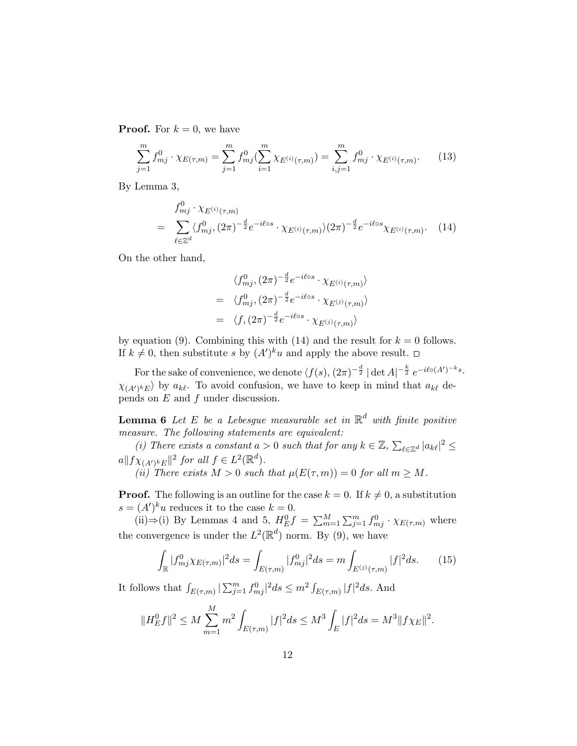**Proof.** For  $k = 0$ , we have

$$
\sum_{j=1}^{m} f_{mj}^0 \cdot \chi_{E(\tau,m)} = \sum_{j=1}^{m} f_{mj}^0 \left( \sum_{i=1}^{m} \chi_{E^{(i)}(\tau,m)} \right) = \sum_{i,j=1}^{m} f_{mj}^0 \cdot \chi_{E^{(i)}(\tau,m)}.
$$
 (13)

By Lemma 3,

$$
f_{mj}^{0} \cdot \chi_{E^{(i)}(\tau,m)} = \sum_{\ell \in \mathbb{Z}^d} \langle f_{mj}^{0}, (2\pi)^{-\frac{d}{2}} e^{-i\ell \circ s} \cdot \chi_{E^{(i)}(\tau,m)} \rangle (2\pi)^{-\frac{d}{2}} e^{-i\ell \circ s} \chi_{E^{(i)}(\tau,m)}.
$$
 (14)

On the other hand,

$$
\langle f_{mj}^0, (2\pi)^{-\frac{d}{2}} e^{-i\ell \circ s} \cdot \chi_{E^{(i)}(\tau, m)} \rangle
$$
  
= 
$$
\langle f_{mj}^0, (2\pi)^{-\frac{d}{2}} e^{-i\ell \circ s} \cdot \chi_{E^{(j)}(\tau, m)} \rangle
$$
  
= 
$$
\langle f, (2\pi)^{-\frac{d}{2}} e^{-i\ell \circ s} \cdot \chi_{E^{(j)}(\tau, m)} \rangle
$$

by equation (9). Combining this with (14) and the result for  $k = 0$  follows. If  $k \neq 0$ , then substitute s by  $(A')^k u$  and apply the above result.

For the sake of convenience, we denote  $\langle f(s), (2\pi)^{-\frac{d}{2}} | \det A |^{1-\frac{k}{2}} e^{-i\ell o(A')^{-k}s}$ .  $\chi_{(A')^k E}$  by  $a_{k\ell}$ . To avoid confusion, we have to keep in mind that  $a_{k\ell}$  depends on E and f under discussion.

**Lemma 6** Let E be a Lebesgue measurable set in  $\mathbb{R}^d$  with finite positive measure. The following statements are equivalent:

(i) There exists a constant  $a > 0$  such that for any  $k \in \mathbb{Z}, \sum$  $\int_{\ell \in \mathbb{Z}^d} |a_{k\ell}|^2 \leq$  $a||f\chi_{(A')^k E}||^2$  for all  $f \in L^2(\mathbb{R}^d)$ . (ii) There exists  $M > 0$  such that  $\mu(E(\tau,m)) = 0$  for all  $m \geq M$ .

**Proof.** The following is an outline for the case  $k = 0$ . If  $k \neq 0$ , a substitution  $s = (A')^{k}u$  reduces it to the case  $k = 0$ .

(ii)⇒(i) By Lemmas 4 and 5,  $H_E^0 f = \sum_{m=1}^M \sum_{j=1}^m f_{mj}^0 \cdot \chi_{E(\tau,m)}$  where the convergence is under the  $L^2(\mathbb{R}^d)$  norm. By (9), we have

$$
\int_{\mathbb{R}} |f_{mj}^0 \chi_{E(\tau,m)}|^2 ds = \int_{E(\tau,m)} |f_{mj}^0|^2 ds = m \int_{E^{(j)}(\tau,m)} |f|^2 ds. \tag{15}
$$

It follows that  $\int_{E(\tau,m)} |\sum_{j=1}^m f_{mj}^0|^2 ds \leq m^2 \int$  $E_{(\tau,m)} |f|^2 ds$ . And

$$
||H_E^0f||^2 \le M \sum_{m=1}^M m^2 \int_{E(\tau,m)} |f|^2 ds \le M^3 \int_E |f|^2 ds = M^3 ||f\chi_E||^2.
$$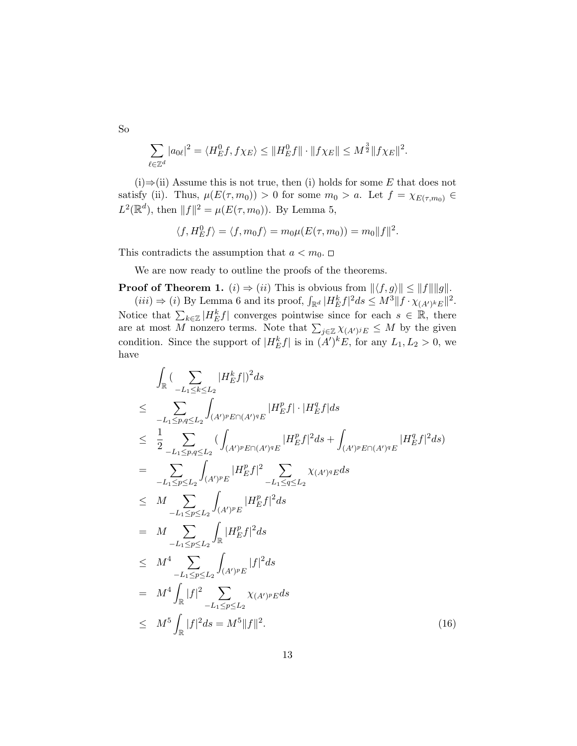$\overline{\phantom{a}}$  $\ell{\in}\mathbb{Z}^d$  $|a_{0\ell}|^2 = \langle H_E^0 f, f \chi_E \rangle \le ||H_E^0 f|| \cdot ||f \chi_E|| \le M^{\frac{3}{2}} ||f \chi_E||^2.$ 

(i)⇒(ii) Assume this is not true, then (i) holds for some E that does not satisfy (ii). Thus,  $\mu(E(\tau, m_0)) > 0$  for some  $m_0 > a$ . Let  $f = \chi_{E(\tau, m_0)} \in$  $L^2(\mathbb{R}^d)$ , then  $||f||^2 = \mu(E(\tau, m_0))$ . By Lemma 5,

$$
\langle f, H_E^0 f \rangle = \langle f, m_0 f \rangle = m_0 \mu(E(\tau, m_0)) = m_0 ||f||^2.
$$

This contradicts the assumption that  $a < m_0$ .

We are now ready to outline the proofs of the theorems.

**Proof of Theorem 1.** (i)  $\Rightarrow$  (ii) This is obvious from  $||\langle f, g \rangle|| \le ||f|| ||g||$ .

(iii)  $\Rightarrow$  (i) By Lemma 6 and its proof,  $\int_{\mathbb{R}^d} |H_E^k f|^2 ds \leq M^3 ||f \cdot \chi_{(A')^k E}||^2$ . Notice that  $\sum_{k\in\mathbb{Z}}|H_E^kf|$  converges pointwise since for each  $s\in\mathbb{R}$ , there are at most M nonzero terms. Note that  $\sum_{j\in\mathbb{Z}} \chi_{(A')^j E} \leq M$  by the given condition. Since the support of  $|H_E^k f|$  is in  $(A')^k E$ , for any  $L_1, L_2 > 0$ , we have

$$
\int_{\mathbb{R}} \left( \sum_{-L_{1} \leq k \leq L_{2}} |H_{E}^{k} f| \right)^{2} ds
$$
\n
$$
\leq \sum_{-L_{1} \leq p,q \leq L_{2}} \int_{(A')^{p}E \cap (A')^{q}E} |H_{E}^{p} f| \cdot |H_{E}^{q} f| ds
$$
\n
$$
\leq \frac{1}{2} \sum_{-L_{1} \leq p,q \leq L_{2}} \left( \int_{(A')^{p}E \cap (A')^{q}E} |H_{E}^{p} f|^{2} ds + \int_{(A')^{p}E \cap (A')^{q}E} |H_{E}^{q} f|^{2} ds \right)
$$
\n
$$
= \sum_{-L_{1} \leq p \leq L_{2}} \int_{(A')^{p}E} |H_{E}^{p} f|^{2} \sum_{-L_{1} \leq q \leq L_{2}} \chi_{(A')^{q}E} ds
$$
\n
$$
\leq M \sum_{-L_{1} \leq p \leq L_{2}} \int_{(A')^{p}E} |H_{E}^{p} f|^{2} ds
$$
\n
$$
= M \sum_{-L_{1} \leq p \leq L_{2}} \int_{\mathbb{R}} |H_{E}^{p} f|^{2} ds
$$
\n
$$
\leq M^{4} \sum_{-L_{1} \leq p \leq L_{2}} \int_{(A')^{p}E} |f|^{2} ds
$$
\n
$$
= M^{4} \int_{\mathbb{R}} |f|^{2} \sum_{-L_{1} \leq p \leq L_{2}} \chi_{(A')^{p}E} ds
$$
\n
$$
\leq M^{5} \int_{\mathbb{R}} |f|^{2} ds = M^{5} \|f\|^{2}.
$$
\n(16)

So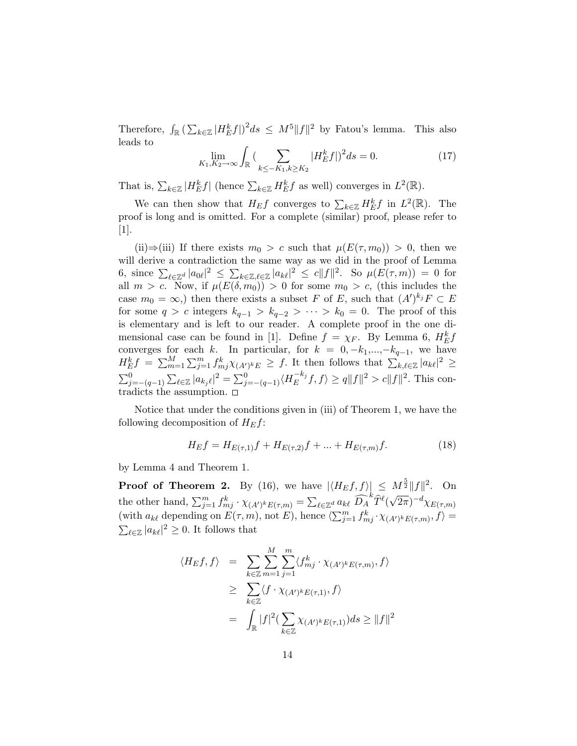Therefore,  $\int_{\mathbb{R}} (\sum)$  $\int_{k\in\mathbb{Z}}|H_E^kf|)^2ds\ \leq\ M^5\|f\|^2$  by Fatou's lemma. This also leads to  $\overline{\phantom{a}}$ 

$$
\lim_{K_1, K_2 \to \infty} \int_{\mathbb{R}} \left( \sum_{k \le -K_1, k \ge K_2} |H_E^k f| \right)^2 ds = 0. \tag{17}
$$

That is,  $\sum_{k\in\mathbb{Z}}|H^k_Ef|$  (hence  $\sum_{k\in\mathbb{Z}}H^k_Ef$  as well) converges in  $L^2(\mathbb{R})$ .

We can then show that  $H_E f$  converges to  $\sum_{k \in \mathbb{Z}} H_E^k f$  in  $L^2(\mathbb{R})$ . The proof is long and is omitted. For a complete (similar) proof, please refer to [1].

(ii)⇒(iii) If there exists  $m_0 > c$  such that  $\mu(E(\tau, m_0)) > 0$ , then we will derive a contradiction the same way as we did in the proof of Lemma 6, since  $\sum_{\ell \in \mathbb{Z}^d} |a_{0\ell}|^2 \leq \sum_{\ell \in \mathbb{Z}^d}$  $\int_{k\in\mathbb{Z},\ell\in\mathbb{Z}}|a_{k\ell}|^2 \leq c||f||^2$ . So  $\mu(E(\tau,m)) = 0$  for all  $m > c$ . Now, if  $\mu(E(\delta, m_0)) > 0$  for some  $m_0 > c$ , (this includes the case  $m_0 = \infty$ , then there exists a subset F of E, such that  $(A')^{k_j}F \subset E$ for some  $q > c$  integers  $k_{q-1} > k_{q-2} > \cdots > k_0 = 0$ . The proof of this is elementary and is left to our reader. A complete proof in the one dimensional case can be found in [1]. Define  $f = \chi_F$ . By Lemma 6,  $H_E^k f$ converges for each k. In particular, for  $k = 0, -k_1, \ldots, -k_{q-1}$ , we have Effect  $H_E^k f = \sum_{m=1}^M \sum_{j=1}^m f_{mj}^k \chi_{(A')^k E} \ge f$ . It then follows that  $\sum_{k,\ell \in \mathbb{Z}} |a_{k\ell}|^2 \ge$  $\sum_{j=-(q-1)}^{D}$  $\overline{ }$  $\sum_{\ell \in \mathbb{Z}} |a_{k_j \ell}|^2 = \sum_{j=-(q-1)}^0 \langle H_{E}^{-k_j} \rangle$  $E^{-k_j} f, f \rangle \ge q \|f\|^2 > c \|f\|^2$ . This contradicts the assumption.

Notice that under the conditions given in (iii) of Theorem 1, we have the following decomposition of  $H_E f$ :

$$
H_E f = H_{E(\tau,1)} f + H_{E(\tau,2)} f + \dots + H_{E(\tau,m)} f.
$$
\n(18)

by Lemma 4 and Theorem 1.

**Proof of Theorem 2.** By (16), we have  $|\langle H_E f, f \rangle| \leq M^{\frac{5}{2}} ||f||^2$ . On the other hand,  $\sum_{j=1}^m f_{mj}^k \cdot \chi_{(A')^k E(\tau,m)} = \sum$  $_{\ell \in \mathbb{Z}^d}$   $a_{k\ell}$   $\widehat{D_A}^k \widehat{T}^{\ell} ($ √  $(\overline{2\pi})^{-d}\chi_{E(\tau,m)}$ (with  $a_{k\ell}$  depending on  $E(\tau, m)$ , not E), hence  $\langle \sum_{j=1}^m f_{mj}^k \cdot \chi_{(A')^k E(\tau, m)}, f \rangle =$  $\ell \in \mathbb{Z} \left| a_{k\ell} \right|^2 \geq 0$ . It follows that

$$
\langle H_E f, f \rangle = \sum_{k \in \mathbb{Z}} \sum_{m=1}^{M} \sum_{j=1}^{m} \langle f_{mj}^k \cdot \chi_{(A')^k E(\tau, m)}, f \rangle
$$
  
\n
$$
\geq \sum_{k \in \mathbb{Z}} \langle f \cdot \chi_{(A')^k E(\tau, 1)}, f \rangle
$$
  
\n
$$
= \int_{\mathbb{R}} |f|^2 (\sum_{k \in \mathbb{Z}} \chi_{(A')^k E(\tau, 1)}) ds \geq ||f||^2
$$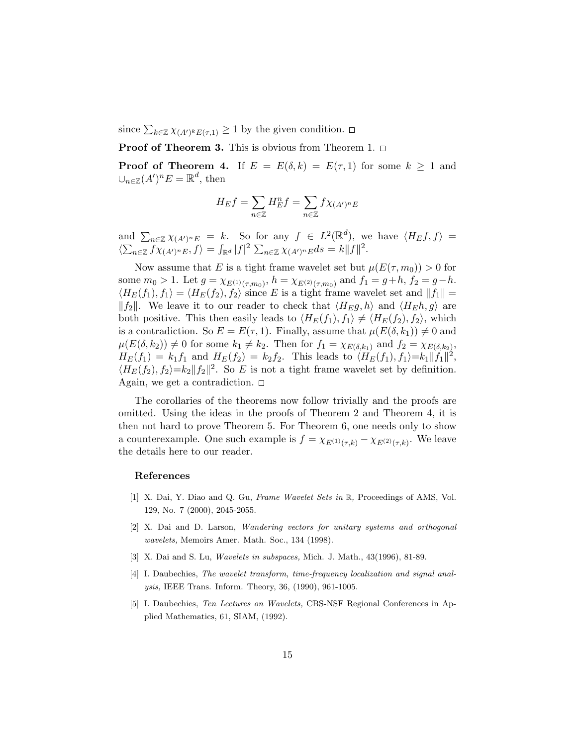since  $\sum_{k \in \mathbb{Z}} \chi_{(A')^k E(\tau,1)} \geq 1$  by the given condition.

**Proof of Theorem 3.** This is obvious from Theorem 1.  $\Box$ 

**Proof of Theorem 4.** If  $E = E(\delta, k) = E(\tau, 1)$  for some  $k \ge 1$  and  $\cup_{n\in\mathbb{Z}}(A')^n E=\mathbb{R}^d$ , then

$$
H_E f = \sum_{n \in \mathbb{Z}} H_E^n f = \sum_{n \in \mathbb{Z}} f \chi_{(A')^n E}
$$

and  $\sum_{n\in\mathbb{Z}} \chi_{(A')^n}E = k$ . So for any  $f \in L^2(\mathbb{R}^d)$ , we have  $\langle H_E f, f \rangle =$  $\langle \sum_{n\in\mathbb{Z}} f\chi_{(A')^nE}, f \rangle = \int_{\mathbb{R}^d} |f|^2 \sum_{n\in\mathbb{Z}} \chi_{(A')^nE} ds = k||f||^2.$ 

Now assume that E is a tight frame wavelet set but  $\mu(E(\tau, m_0)) > 0$  for some  $m_0 > 1$ . Let  $g = \chi_{E^{(1)}(\tau,m_0)}$ ,  $h = \chi_{E^{(2)}(\tau,m_0)}$  and  $f_1 = g+h$ ,  $f_2 = g-h$ .  $\langle H_E(f_1), f_1 \rangle = \langle H_E(f_2), f_2 \rangle$  since E is a tight frame wavelet set and  $||f_1|| =$  $||f_2||$ . We leave it to our reader to check that  $\langle H_E g, h \rangle$  and  $\langle H_E h, g \rangle$  are both positive. This then easily leads to  $\langle H_E(f_1), f_1 \rangle \neq \langle H_E(f_2), f_2 \rangle$ , which is a contradiction. So  $E = E(\tau, 1)$ . Finally, assume that  $\mu(E(\delta, k_1)) \neq 0$  and  $\mu(E(\delta, k_2)) \neq 0$  for some  $k_1 \neq k_2$ . Then for  $f_1 = \chi_{E(\delta, k_1)}$  and  $f_2 = \chi_{E(\delta, k_2)}$ ,  $H_E(f_1) = k_1 f_1$  and  $H_E(f_2) = k_2 f_2$ . This leads to  $\langle H_E(f_1), f_1 \rangle = k_1 \|\hat{f}_1\|^2$ ,  $\langle H_E(f_2), f_2 \rangle = k_2 ||f_2||^2$ . So E is not a tight frame wavelet set by definition. Again, we get a contradiction.  $\Box$ 

The corollaries of the theorems now follow trivially and the proofs are omitted. Using the ideas in the proofs of Theorem 2 and Theorem 4, it is then not hard to prove Theorem 5. For Theorem 6, one needs only to show a counterexample. One such example is  $f = \chi_{E^{(1)}(\tau,k)} - \chi_{E^{(2)}(\tau,k)}$ . We leave the details here to our reader.

#### References

- [1] X. Dai, Y. Diao and Q. Gu, Frame Wavelet Sets in R, Proceedings of AMS, Vol. 129, No. 7 (2000), 2045-2055.
- [2] X. Dai and D. Larson, Wandering vectors for unitary systems and orthogonal wavelets, Memoirs Amer. Math. Soc., 134 (1998).
- [3] X. Dai and S. Lu, *Wavelets in subspaces*, Mich. J. Math., 43(1996), 81-89.
- [4] I. Daubechies, The wavelet transform, time-frequency localization and signal analysis, IEEE Trans. Inform. Theory, 36, (1990), 961-1005.
- [5] I. Daubechies, Ten Lectures on Wavelets, CBS-NSF Regional Conferences in Applied Mathematics, 61, SIAM, (1992).